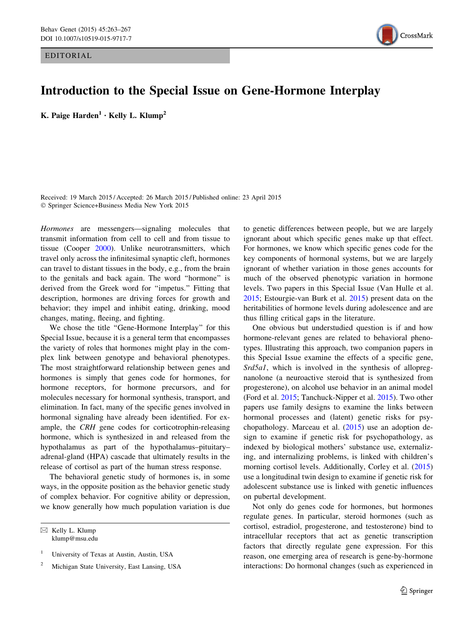EDITORIAL



# Introduction to the Special Issue on Gene-Hormone Interplay

K. Paige  $\text{Harden}^1 \cdot \text{Kelly L. Klump}^2$ 

Received: 19 March 2015 / Accepted: 26 March 2015 / Published online: 23 April 2015 - Springer Science+Business Media New York 2015

Hormones are messengers—signaling molecules that transmit information from cell to cell and from tissue to tissue (Cooper [2000\)](#page-4-0). Unlike neurotransmitters, which travel only across the infinitesimal synaptic cleft, hormones can travel to distant tissues in the body, e.g., from the brain to the genitals and back again. The word ''hormone'' is derived from the Greek word for ''impetus.'' Fitting that description, hormones are driving forces for growth and behavior; they impel and inhibit eating, drinking, mood changes, mating, fleeing, and fighting.

We chose the title ''Gene-Hormone Interplay'' for this Special Issue, because it is a general term that encompasses the variety of roles that hormones might play in the complex link between genotype and behavioral phenotypes. The most straightforward relationship between genes and hormones is simply that genes code for hormones, for hormone receptors, for hormone precursors, and for molecules necessary for hormonal synthesis, transport, and elimination. In fact, many of the specific genes involved in hormonal signaling have already been identified. For example, the CRH gene codes for corticotrophin-releasing hormone, which is synthesized in and released from the hypothalamus as part of the hypothalamus–pituitary– adrenal-gland (HPA) cascade that ultimately results in the release of cortisol as part of the human stress response.

The behavioral genetic study of hormones is, in some ways, in the opposite position as the behavior genetic study of complex behavior. For cognitive ability or depression, we know generally how much population variation is due

 $\boxtimes$  Kelly L. Klump klump@msu.edu to genetic differences between people, but we are largely ignorant about which specific genes make up that effect. For hormones, we know which specific genes code for the key components of hormonal systems, but we are largely ignorant of whether variation in those genes accounts for much of the observed phenotypic variation in hormone levels. Two papers in this Special Issue (Van Hulle et al. [2015](#page-4-0); Estourgie-van Burk et al. [2015](#page-4-0)) present data on the heritabilities of hormone levels during adolescence and are thus filling critical gaps in the literature.

One obvious but understudied question is if and how hormone-relevant genes are related to behavioral phenotypes. Illustrating this approach, two companion papers in this Special Issue examine the effects of a specific gene, Srd5a1, which is involved in the synthesis of allopregnanolone (a neuroactive steroid that is synthesized from progesterone), on alcohol use behavior in an animal model (Ford et al. [2015](#page-4-0); Tanchuck-Nipper et al. [2015](#page-4-0)). Two other papers use family designs to examine the links between hormonal processes and (latent) genetic risks for psychopathology. Marceau et al. [\(2015](#page-4-0)) use an adoption design to examine if genetic risk for psychopathology, as indexed by biological mothers' substance use, externalizing, and internalizing problems, is linked with children's morning cortisol levels. Additionally, Corley et al. ([2015\)](#page-4-0) use a longitudinal twin design to examine if genetic risk for adolescent substance use is linked with genetic influences on pubertal development.

Not only do genes code for hormones, but hormones regulate genes. In particular, steroid hormones (such as cortisol, estradiol, progesterone, and testosterone) bind to intracellular receptors that act as genetic transcription factors that directly regulate gene expression. For this reason, one emerging area of research is gene-by-hormone interactions: Do hormonal changes (such as experienced in

<sup>&</sup>lt;sup>1</sup> University of Texas at Austin, Austin, USA

<sup>2</sup> Michigan State University, East Lansing, USA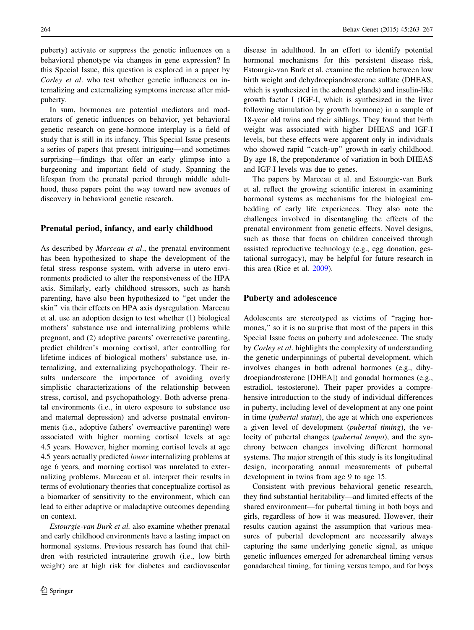puberty) activate or suppress the genetic influences on a behavioral phenotype via changes in gene expression? In this Special Issue, this question is explored in a paper by Corley et al. who test whether genetic influences on internalizing and externalizing symptoms increase after midpuberty.

In sum, hormones are potential mediators and moderators of genetic influences on behavior, yet behavioral genetic research on gene-hormone interplay is a field of study that is still in its infancy. This Special Issue presents a series of papers that present intriguing—and sometimes surprising—findings that offer an early glimpse into a burgeoning and important field of study. Spanning the lifespan from the prenatal period through middle adulthood, these papers point the way toward new avenues of discovery in behavioral genetic research.

### Prenatal period, infancy, and early childhood

As described by *Marceau et al.*, the prenatal environment has been hypothesized to shape the development of the fetal stress response system, with adverse in utero environments predicted to alter the responsiveness of the HPA axis. Similarly, early childhood stressors, such as harsh parenting, have also been hypothesized to ''get under the skin'' via their effects on HPA axis dysregulation. Marceau et al. use an adoption design to test whether (1) biological mothers' substance use and internalizing problems while pregnant, and (2) adoptive parents' overreactive parenting, predict children's morning cortisol, after controlling for lifetime indices of biological mothers' substance use, internalizing, and externalizing psychopathology. Their results underscore the importance of avoiding overly simplistic characterizations of the relationship between stress, cortisol, and psychopathology. Both adverse prenatal environments (i.e., in utero exposure to substance use and maternal depression) and adverse postnatal environments (i.e., adoptive fathers' overreactive parenting) were associated with higher morning cortisol levels at age 4.5 years. However, higher morning cortisol levels at age 4.5 years actually predicted lower internalizing problems at age 6 years, and morning cortisol was unrelated to externalizing problems. Marceau et al. interpret their results in terms of evolutionary theories that conceptualize cortisol as a biomarker of sensitivity to the environment, which can lead to either adaptive or maladaptive outcomes depending on context.

Estourgie-van Burk et al. also examine whether prenatal and early childhood environments have a lasting impact on hormonal systems. Previous research has found that children with restricted intrauterine growth (i.e., low birth weight) are at high risk for diabetes and cardiovascular disease in adulthood. In an effort to identify potential hormonal mechanisms for this persistent disease risk, Estourgie-van Burk et al. examine the relation between low birth weight and dehydroepiandrosterone sulfate (DHEAS, which is synthesized in the adrenal glands) and insulin-like growth factor I (IGF-I, which is synthesized in the liver following stimulation by growth hormone) in a sample of 18-year old twins and their siblings. They found that birth weight was associated with higher DHEAS and IGF-I levels, but these effects were apparent only in individuals who showed rapid "catch-up" growth in early childhood. By age 18, the preponderance of variation in both DHEAS and IGF-I levels was due to genes.

The papers by Marceau et al. and Estourgie-van Burk et al. reflect the growing scientific interest in examining hormonal systems as mechanisms for the biological embedding of early life experiences. They also note the challenges involved in disentangling the effects of the prenatal environment from genetic effects. Novel designs, such as those that focus on children conceived through assisted reproductive technology (e.g., egg donation, gestational surrogacy), may be helpful for future research in this area (Rice et al. [2009\)](#page-4-0).

# Puberty and adolescence

Adolescents are stereotyped as victims of ''raging hormones," so it is no surprise that most of the papers in this Special Issue focus on puberty and adolescence. The study by Corley et al. highlights the complexity of understanding the genetic underpinnings of pubertal development, which involves changes in both adrenal hormones (e.g., dihydroepiandrosterone [DHEA]) and gonadal hormones (e.g., estradiol, testosterone). Their paper provides a comprehensive introduction to the study of individual differences in puberty, including level of development at any one point in time (pubertal status), the age at which one experiences a given level of development (pubertal timing), the velocity of pubertal changes (*pubertal tempo*), and the synchrony between changes involving different hormonal systems. The major strength of this study is its longitudinal design, incorporating annual measurements of pubertal development in twins from age 9 to age 15.

Consistent with previous behavioral genetic research, they find substantial heritability—and limited effects of the shared environment—for pubertal timing in both boys and girls, regardless of how it was measured. However, their results caution against the assumption that various measures of pubertal development are necessarily always capturing the same underlying genetic signal, as unique genetic influences emerged for adrenarcheal timing versus gonadarcheal timing, for timing versus tempo, and for boys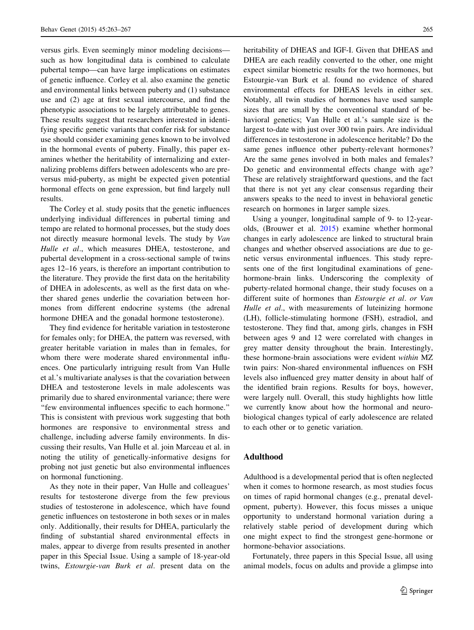versus girls. Even seemingly minor modeling decisions such as how longitudinal data is combined to calculate pubertal tempo—can have large implications on estimates of genetic influence. Corley et al. also examine the genetic and environmental links between puberty and (1) substance use and (2) age at first sexual intercourse, and find the phenotypic associations to be largely attributable to genes. These results suggest that researchers interested in identifying specific genetic variants that confer risk for substance use should consider examining genes known to be involved in the hormonal events of puberty. Finally, this paper examines whether the heritability of internalizing and externalizing problems differs between adolescents who are preversus mid-puberty, as might be expected given potential hormonal effects on gene expression, but find largely null results.

The Corley et al. study posits that the genetic influences underlying individual differences in pubertal timing and tempo are related to hormonal processes, but the study does not directly measure hormonal levels. The study by Van Hulle et al., which measures DHEA, testosterone, and pubertal development in a cross-sectional sample of twins ages 12–16 years, is therefore an important contribution to the literature. They provide the first data on the heritability of DHEA in adolescents, as well as the first data on whether shared genes underlie the covariation between hormones from different endocrine systems (the adrenal hormone DHEA and the gonadal hormone testosterone).

They find evidence for heritable variation in testosterone for females only; for DHEA, the pattern was reversed, with greater heritable variation in males than in females, for whom there were moderate shared environmental influences. One particularly intriguing result from Van Hulle et al.'s multivariate analyses is that the covariation between DHEA and testosterone levels in male adolescents was primarily due to shared environmental variance; there were ''few environmental influences specific to each hormone.'' This is consistent with previous work suggesting that both hormones are responsive to environmental stress and challenge, including adverse family environments. In discussing their results, Van Hulle et al. join Marceau et al. in noting the utility of genetically-informative designs for probing not just genetic but also environmental influences on hormonal functioning.

As they note in their paper, Van Hulle and colleagues' results for testosterone diverge from the few previous studies of testosterone in adolescence, which have found genetic influences on testosterone in both sexes or in males only. Additionally, their results for DHEA, particularly the finding of substantial shared environmental effects in males, appear to diverge from results presented in another paper in this Special Issue. Using a sample of 18-year-old twins, Estourgie-van Burk et al. present data on the heritability of DHEAS and IGF-I. Given that DHEAS and DHEA are each readily converted to the other, one might expect similar biometric results for the two hormones, but Estourgie-van Burk et al. found no evidence of shared environmental effects for DHEAS levels in either sex. Notably, all twin studies of hormones have used sample sizes that are small by the conventional standard of behavioral genetics; Van Hulle et al.'s sample size is the largest to-date with just over 300 twin pairs. Are individual differences in testosterone in adolescence heritable? Do the same genes influence other puberty-relevant hormones? Are the same genes involved in both males and females? Do genetic and environmental effects change with age? These are relatively straightforward questions, and the fact that there is not yet any clear consensus regarding their answers speaks to the need to invest in behavioral genetic research on hormones in larger sample sizes.

Using a younger, longitudinal sample of 9- to 12-yearolds, (Brouwer et al. [2015](#page-4-0)) examine whether hormonal changes in early adolescence are linked to structural brain changes and whether observed associations are due to genetic versus environmental influences. This study represents one of the first longitudinal examinations of genehormone-brain links. Underscoring the complexity of puberty-related hormonal change, their study focuses on a different suite of hormones than Estourgie et al. or Van Hulle et al., with measurements of luteinizing hormone (LH), follicle-stimulating hormone (FSH), estradiol, and testosterone. They find that, among girls, changes in FSH between ages 9 and 12 were correlated with changes in grey matter density throughout the brain. Interestingly, these hormone-brain associations were evident within MZ twin pairs: Non-shared environmental influences on FSH levels also influenced grey matter density in about half of the identified brain regions. Results for boys, however, were largely null. Overall, this study highlights how little we currently know about how the hormonal and neurobiological changes typical of early adolescence are related to each other or to genetic variation.

# Adulthood

Adulthood is a developmental period that is often neglected when it comes to hormone research, as most studies focus on times of rapid hormonal changes (e.g., prenatal development, puberty). However, this focus misses a unique opportunity to understand hormonal variation during a relatively stable period of development during which one might expect to find the strongest gene-hormone or hormone-behavior associations.

Fortunately, three papers in this Special Issue, all using animal models, focus on adults and provide a glimpse into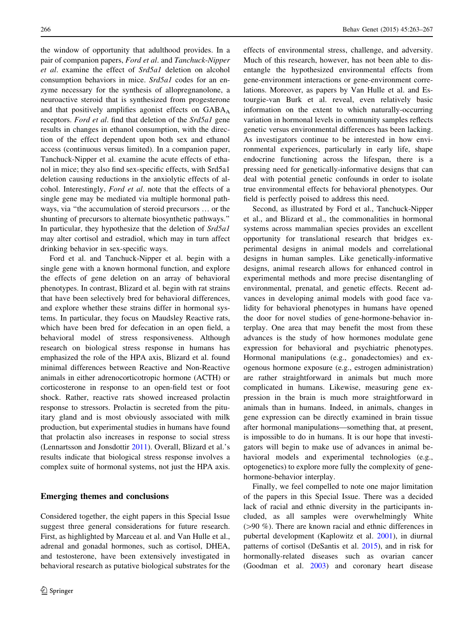the window of opportunity that adulthood provides. In a pair of companion papers, Ford et al. and Tanchuck-Nipper et al. examine the effect of Srd5a1 deletion on alcohol consumption behaviors in mice. Srd5a1 codes for an enzyme necessary for the synthesis of allopregnanolone, a neuroactive steroid that is synthesized from progesterone and that positively amplifies agonist effects on GABA<sub>A</sub> receptors. Ford et al. find that deletion of the Srd5a1 gene results in changes in ethanol consumption, with the direction of the effect dependent upon both sex and ethanol access (continuous versus limited). In a companion paper, Tanchuck-Nipper et al. examine the acute effects of ethanol in mice; they also find sex-specific effects, with Srd5a1 deletion causing reductions in the anxiolytic effects of alcohol. Interestingly, Ford et al. note that the effects of a single gene may be mediated via multiple hormonal pathways, via ''the accumulation of steroid precursors … or the shunting of precursors to alternate biosynthetic pathways.'' In particular, they hypothesize that the deletion of Srd5a1 may alter cortisol and estradiol, which may in turn affect drinking behavior in sex-specific ways.

Ford et al. and Tanchuck-Nipper et al. begin with a single gene with a known hormonal function, and explore the effects of gene deletion on an array of behavioral phenotypes. In contrast, Blizard et al. begin with rat strains that have been selectively bred for behavioral differences, and explore whether these strains differ in hormonal systems. In particular, they focus on Maudsley Reactive rats, which have been bred for defecation in an open field, a behavioral model of stress responsiveness. Although research on biological stress response in humans has emphasized the role of the HPA axis, Blizard et al. found minimal differences between Reactive and Non-Reactive animals in either adrenocorticotropic hormone (ACTH) or corticosterone in response to an open-field test or foot shock. Rather, reactive rats showed increased prolactin response to stressors. Prolactin is secreted from the pituitary gland and is most obviously associated with milk production, but experimental studies in humans have found that prolactin also increases in response to social stress (Lennartsson and Jonsdottir [2011\)](#page-4-0). Overall, Blizard et al.'s results indicate that biological stress response involves a complex suite of hormonal systems, not just the HPA axis.

#### Emerging themes and conclusions

Considered together, the eight papers in this Special Issue suggest three general considerations for future research. First, as highlighted by Marceau et al. and Van Hulle et al., adrenal and gonadal hormones, such as cortisol, DHEA, and testosterone, have been extensively investigated in behavioral research as putative biological substrates for the effects of environmental stress, challenge, and adversity. Much of this research, however, has not been able to disentangle the hypothesized environmental effects from gene-environment interactions or gene-environment correlations. Moreover, as papers by Van Hulle et al. and Estourgie-van Burk et al. reveal, even relatively basic information on the extent to which naturally-occurring variation in hormonal levels in community samples reflects genetic versus environmental differences has been lacking. As investigators continue to be interested in how environmental experiences, particularly in early life, shape endocrine functioning across the lifespan, there is a pressing need for genetically-informative designs that can deal with potential genetic confounds in order to isolate true environmental effects for behavioral phenotypes. Our field is perfectly poised to address this need.

Second, as illustrated by Ford et al., Tanchuck-Nipper et al., and Blizard et al., the commonalities in hormonal systems across mammalian species provides an excellent opportunity for translational research that bridges experimental designs in animal models and correlational designs in human samples. Like genetically-informative designs, animal research allows for enhanced control in experimental methods and more precise disentangling of environmental, prenatal, and genetic effects. Recent advances in developing animal models with good face validity for behavioral phenotypes in humans have opened the door for novel studies of gene-hormone-behavior interplay. One area that may benefit the most from these advances is the study of how hormones modulate gene expression for behavioral and psychiatric phenotypes. Hormonal manipulations (e.g., gonadectomies) and exogenous hormone exposure (e.g., estrogen administration) are rather straightforward in animals but much more complicated in humans. Likewise, measuring gene expression in the brain is much more straightforward in animals than in humans. Indeed, in animals, changes in gene expression can be directly examined in brain tissue after hormonal manipulations—something that, at present, is impossible to do in humans. It is our hope that investigators will begin to make use of advances in animal behavioral models and experimental technologies (e.g., optogenetics) to explore more fully the complexity of genehormone-behavior interplay.

Finally, we feel compelled to note one major limitation of the papers in this Special Issue. There was a decided lack of racial and ethnic diversity in the participants included, as all samples were overwhelmingly White  $(>= 90\%)$ . There are known racial and ethnic differences in pubertal development (Kaplowitz et al. [2001\)](#page-4-0), in diurnal patterns of cortisol (DeSantis et al. [2015\)](#page-4-0), and in risk for hormonally-related diseases such as ovarian cancer (Goodman et al. [2003\)](#page-4-0) and coronary heart disease